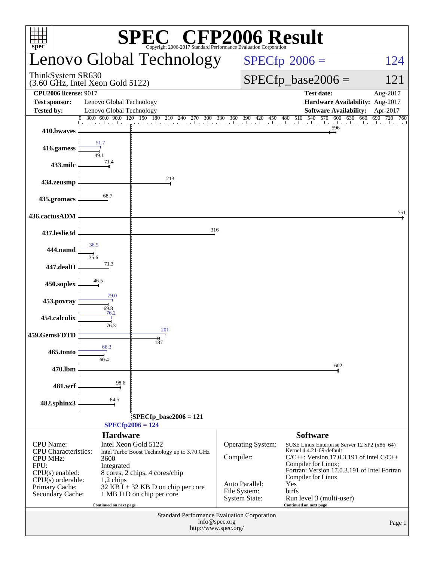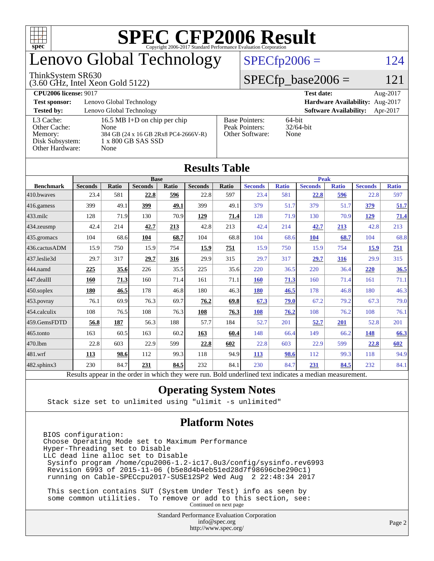

## enovo Global Technology

#### ThinkSystem SR630

(3.60 GHz, Intel Xeon Gold 5122)

#### $SPECfp2006 = 124$  $SPECfp2006 = 124$

#### $SPECfp\_base2006 = 121$

**[CPU2006 license:](http://www.spec.org/auto/cpu2006/Docs/result-fields.html#CPU2006license)** 9017 **[Test date:](http://www.spec.org/auto/cpu2006/Docs/result-fields.html#Testdate)** Aug-2017 **[Test sponsor:](http://www.spec.org/auto/cpu2006/Docs/result-fields.html#Testsponsor)** Lenovo Global Technology **[Hardware Availability:](http://www.spec.org/auto/cpu2006/Docs/result-fields.html#HardwareAvailability)** Aug-2017 **[Tested by:](http://www.spec.org/auto/cpu2006/Docs/result-fields.html#Testedby)** Lenovo Global Technology **[Software Availability:](http://www.spec.org/auto/cpu2006/Docs/result-fields.html#SoftwareAvailability)** Apr-2017 [L3 Cache:](http://www.spec.org/auto/cpu2006/Docs/result-fields.html#L3Cache) 16.5 MB I+D on chip per chip<br>Other Cache: None [Other Cache:](http://www.spec.org/auto/cpu2006/Docs/result-fields.html#OtherCache) [Memory:](http://www.spec.org/auto/cpu2006/Docs/result-fields.html#Memory) 384 GB (24 x 16 GB 2Rx8 PC4-2666V-R) [Disk Subsystem:](http://www.spec.org/auto/cpu2006/Docs/result-fields.html#DiskSubsystem) 1 x 800 GB SAS SSD [Other Hardware:](http://www.spec.org/auto/cpu2006/Docs/result-fields.html#OtherHardware) None [Base Pointers:](http://www.spec.org/auto/cpu2006/Docs/result-fields.html#BasePointers) 64-bit<br>Peak Pointers: 32/64-bit [Peak Pointers:](http://www.spec.org/auto/cpu2006/Docs/result-fields.html#PeakPointers) [Other Software:](http://www.spec.org/auto/cpu2006/Docs/result-fields.html#OtherSoftware) None

**[Results Table](http://www.spec.org/auto/cpu2006/Docs/result-fields.html#ResultsTable)**

| Results Table          |                                                                                                          |              |                |       |                |       |                |              |                |              |                |              |
|------------------------|----------------------------------------------------------------------------------------------------------|--------------|----------------|-------|----------------|-------|----------------|--------------|----------------|--------------|----------------|--------------|
|                        | <b>Base</b>                                                                                              |              |                |       |                |       | <b>Peak</b>    |              |                |              |                |              |
| <b>Benchmark</b>       | <b>Seconds</b>                                                                                           | <b>Ratio</b> | <b>Seconds</b> | Ratio | <b>Seconds</b> | Ratio | <b>Seconds</b> | <b>Ratio</b> | <b>Seconds</b> | <b>Ratio</b> | <b>Seconds</b> | <b>Ratio</b> |
| $410$ .bwayes          | 23.4                                                                                                     | 581          | 22.8           | 596   | 22.8           | 597   | 23.4           | 581          | 22.8           | 596          | 22.8           | 597          |
| 416.gamess             | 399                                                                                                      | 49.1         | 399            | 49.1  | 399            | 49.1  | 379            | 51.7         | 379            | 51.7         | 379            | 51.7         |
| $433$ .milc            | 128                                                                                                      | 71.9         | 130            | 70.9  | 129            | 71.4  | 128            | 71.9         | 130            | 70.9         | 129            | 71.4         |
| 434.zeusmp             | 42.4                                                                                                     | 214          | 42.7           | 213   | 42.8           | 213   | 42.4           | 214          | 42.7           | 213          | 42.8           | 213          |
| 435.gromacs            | 104                                                                                                      | 68.6         | 104            | 68.7  | 104            | 68.8  | 104            | 68.6         | 104            | 68.7         | 104            | 68.8         |
| 436.cactusADM          | 15.9                                                                                                     | 750          | 15.9           | 754   | 15.9           | 751   | 15.9           | 750          | 15.9           | 754          | 15.9           | <u>751</u>   |
| 437.leslie3d           | 29.7                                                                                                     | 317          | 29.7           | 316   | 29.9           | 315   | 29.7           | 317          | 29.7           | 316          | 29.9           | 315          |
| 444.namd               | 225                                                                                                      | 35.6         | 226            | 35.5  | 225            | 35.6  | 220            | 36.5         | 220            | 36.4         | 220            | 36.5         |
| $ 447 \text{.}$ dealII | 160                                                                                                      | 71.3         | 160            | 71.4  | 161            | 71.1  | 160            | 71.3         | 160            | 71.4         | 161            | 71.1         |
| $450$ .soplex          | 180                                                                                                      | 46.5         | 178            | 46.8  | 180            | 46.3  | 180            | 46.5         | 178            | 46.8         | 180            | 46.3         |
| 453.povray             | 76.1                                                                                                     | 69.9         | 76.3           | 69.7  | 76.2           | 69.8  | 67.3           | 79.0         | 67.2           | 79.2         | 67.3           | 79.0         |
| $ 454$ .calculix       | 108                                                                                                      | 76.5         | 108            | 76.3  | 108            | 76.3  | 108            | 76.2         | 108            | 76.2         | 108            | 76.1         |
| 459.GemsFDTD           | 56.8                                                                                                     | 187          | 56.3           | 188   | 57.7           | 184   | 52.7           | 201          | 52.7           | 201          | 52.8           | 201          |
| $465$ .tonto           | 163                                                                                                      | 60.5         | 163            | 60.2  | 163            | 60.4  | 148            | 66.4         | 149            | 66.2         | <u>148</u>     | 66.3         |
| 470.1bm                | 22.8                                                                                                     | 603          | 22.9           | 599   | 22.8           | 602   | 22.8           | 603          | 22.9           | 599          | 22.8           | 602          |
| 481.wrf                | 113                                                                                                      | 98.6         | 112            | 99.3  | 118            | 94.9  | <b>113</b>     | 98.6         | 112            | 99.3         | 118            | 94.9         |
| 482.sphinx3            | 230                                                                                                      | 84.7         | 231            | 84.5  | 232            | 84.1  | 230            | 84.7         | 231            | 84.5         | 232            | 84.1         |
|                        | Results appear in the order in which they were run. Bold underlined text indicates a median measurement. |              |                |       |                |       |                |              |                |              |                |              |

#### **[Operating System Notes](http://www.spec.org/auto/cpu2006/Docs/result-fields.html#OperatingSystemNotes)**

Stack size set to unlimited using "ulimit -s unlimited"

#### **[Platform Notes](http://www.spec.org/auto/cpu2006/Docs/result-fields.html#PlatformNotes)**

BIOS configuration: Choose Operating Mode set to Maximum Performance Hyper-Threading set to Disable LLC dead line alloc set to Disable Sysinfo program /home/cpu2006-1.2-ic17.0u3/config/sysinfo.rev6993 Revision 6993 of 2015-11-06 (b5e8d4b4eb51ed28d7f98696cbe290c1) running on Cable-SPECcpu2017-SUSE12SP2 Wed Aug 2 22:48:34 2017

 This section contains SUT (System Under Test) info as seen by some common utilities. To remove or add to this section, see: Continued on next page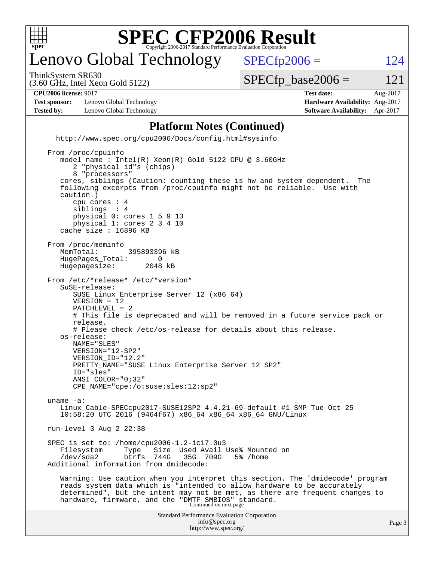

## enovo Global Technology

ThinkSystem SR630

 $SPECTp2006 = 124$ 

(3.60 GHz, Intel Xeon Gold 5122)

 $SPECTp\_base2006 = 121$ 

**[CPU2006 license:](http://www.spec.org/auto/cpu2006/Docs/result-fields.html#CPU2006license)** 9017 **[Test date:](http://www.spec.org/auto/cpu2006/Docs/result-fields.html#Testdate)** Aug-2017

**[Test sponsor:](http://www.spec.org/auto/cpu2006/Docs/result-fields.html#Testsponsor)** Lenovo Global Technology **[Hardware Availability:](http://www.spec.org/auto/cpu2006/Docs/result-fields.html#HardwareAvailability)** Aug-2017 **[Tested by:](http://www.spec.org/auto/cpu2006/Docs/result-fields.html#Testedby)** Lenovo Global Technology **[Software Availability:](http://www.spec.org/auto/cpu2006/Docs/result-fields.html#SoftwareAvailability)** Apr-2017

#### **[Platform Notes \(Continued\)](http://www.spec.org/auto/cpu2006/Docs/result-fields.html#PlatformNotes)**

 <http://www.spec.org/cpu2006/Docs/config.html#sysinfo> From /proc/cpuinfo

```
Standard Performance Evaluation Corporation
                                       info@spec.org
    model name : Intel(R) Xeon(R) Gold 5122 CPU @ 3.60GHz
        2 "physical id"s (chips)
        8 "processors"
     cores, siblings (Caution: counting these is hw and system dependent. The
     following excerpts from /proc/cpuinfo might not be reliable. Use with
     caution.)
        cpu cores : 4
       siblings
        physical 0: cores 1 5 9 13
        physical 1: cores 2 3 4 10
     cache size : 16896 KB
From /proc/meminfo<br>MemTotal:
                     395893396 kB
   HugePages_Total: 0<br>Hugepagesize: 2048 kB
   Hugepagesize:
 From /etc/*release* /etc/*version*
     SuSE-release:
        SUSE Linux Enterprise Server 12 (x86_64)
        VERSION = 12
        PATCHLEVEL = 2
        # This file is deprecated and will be removed in a future service pack or
        release.
        # Please check /etc/os-release for details about this release.
     os-release:
        NAME="SLES"
        VERSION="12-SP2"
        VERSION_ID="12.2"
        PRETTY_NAME="SUSE Linux Enterprise Server 12 SP2"
        ID="sles"
        ANSI_COLOR="0;32"
        CPE_NAME="cpe:/o:suse:sles:12:sp2"
 uname -a:
    Linux Cable-SPECcpu2017-SUSE12SP2 4.4.21-69-default #1 SMP Tue Oct 25
     10:58:20 UTC 2016 (9464f67) x86_64 x86_64 x86_64 GNU/Linux
 run-level 3 Aug 2 22:38
  SPEC is set to: /home/cpu2006-1.2-ic17.0u3
    Filesystem Type Size Used-Avail-Use%-Mounted-on-<br>
/dev/sda2 btrfs 744G 35G 709G 5%-/home
     /dev/sda2 btrfs 744G 35G 709G 5% /home
 Additional information from dmidecode:
     Warning: Use caution when you interpret this section. The 'dmidecode' program
     reads system data which is "intended to allow hardware to be accurately
     determined", but the intent may not be met, as there are frequent changes to
hardware, firmware, and the "DMTF SMBIOS" standard.<br>Continued on next page
```
<http://www.spec.org/>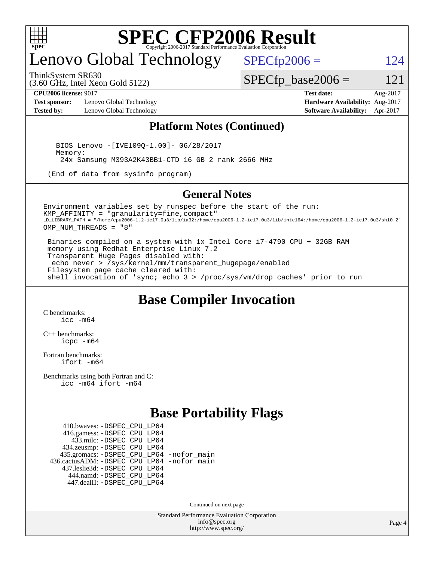

## enovo Global Technology

ThinkSystem SR630

(3.60 GHz, Intel Xeon Gold 5122)

 $SPECfp2006 = 124$  $SPECfp2006 = 124$ 

 $SPECTp\_base2006 = 121$ 

**[Test sponsor:](http://www.spec.org/auto/cpu2006/Docs/result-fields.html#Testsponsor)** Lenovo Global Technology **[Hardware Availability:](http://www.spec.org/auto/cpu2006/Docs/result-fields.html#HardwareAvailability)** Aug-2017 **[Tested by:](http://www.spec.org/auto/cpu2006/Docs/result-fields.html#Testedby)** Lenovo Global Technology **[Software Availability:](http://www.spec.org/auto/cpu2006/Docs/result-fields.html#SoftwareAvailability)** Apr-2017

**[CPU2006 license:](http://www.spec.org/auto/cpu2006/Docs/result-fields.html#CPU2006license)** 9017 **[Test date:](http://www.spec.org/auto/cpu2006/Docs/result-fields.html#Testdate)** Aug-2017

#### **[Platform Notes \(Continued\)](http://www.spec.org/auto/cpu2006/Docs/result-fields.html#PlatformNotes)**

 BIOS Lenovo -[IVE109Q-1.00]- 06/28/2017 Memory: 24x Samsung M393A2K43BB1-CTD 16 GB 2 rank 2666 MHz

(End of data from sysinfo program)

#### **[General Notes](http://www.spec.org/auto/cpu2006/Docs/result-fields.html#GeneralNotes)**

Environment variables set by runspec before the start of the run: KMP\_AFFINITY = "granularity=fine,compact" LD\_LIBRARY\_PATH = "/home/cpu2006-1.2-ic17.0u3/lib/ia32:/home/cpu2006-1.2-ic17.0u3/lib/intel64:/home/cpu2006-1.2-ic17.0u3/sh10.2" OMP\_NUM\_THREADS = "8"

 Binaries compiled on a system with 1x Intel Core i7-4790 CPU + 32GB RAM memory using Redhat Enterprise Linux 7.2 Transparent Huge Pages disabled with: echo never > /sys/kernel/mm/transparent\_hugepage/enabled Filesystem page cache cleared with: shell invocation of 'sync; echo 3 > /proc/sys/vm/drop\_caches' prior to run

#### **[Base Compiler Invocation](http://www.spec.org/auto/cpu2006/Docs/result-fields.html#BaseCompilerInvocation)**

[C benchmarks](http://www.spec.org/auto/cpu2006/Docs/result-fields.html#Cbenchmarks): [icc -m64](http://www.spec.org/cpu2006/results/res2017q4/cpu2006-20170918-49512.flags.html#user_CCbase_intel_icc_64bit_bda6cc9af1fdbb0edc3795bac97ada53)

[C++ benchmarks:](http://www.spec.org/auto/cpu2006/Docs/result-fields.html#CXXbenchmarks) [icpc -m64](http://www.spec.org/cpu2006/results/res2017q4/cpu2006-20170918-49512.flags.html#user_CXXbase_intel_icpc_64bit_fc66a5337ce925472a5c54ad6a0de310)

[Fortran benchmarks](http://www.spec.org/auto/cpu2006/Docs/result-fields.html#Fortranbenchmarks): [ifort -m64](http://www.spec.org/cpu2006/results/res2017q4/cpu2006-20170918-49512.flags.html#user_FCbase_intel_ifort_64bit_ee9d0fb25645d0210d97eb0527dcc06e)

[Benchmarks using both Fortran and C](http://www.spec.org/auto/cpu2006/Docs/result-fields.html#BenchmarksusingbothFortranandC): [icc -m64](http://www.spec.org/cpu2006/results/res2017q4/cpu2006-20170918-49512.flags.html#user_CC_FCbase_intel_icc_64bit_bda6cc9af1fdbb0edc3795bac97ada53) [ifort -m64](http://www.spec.org/cpu2006/results/res2017q4/cpu2006-20170918-49512.flags.html#user_CC_FCbase_intel_ifort_64bit_ee9d0fb25645d0210d97eb0527dcc06e)

### **[Base Portability Flags](http://www.spec.org/auto/cpu2006/Docs/result-fields.html#BasePortabilityFlags)**

 410.bwaves: [-DSPEC\\_CPU\\_LP64](http://www.spec.org/cpu2006/results/res2017q4/cpu2006-20170918-49512.flags.html#suite_basePORTABILITY410_bwaves_DSPEC_CPU_LP64) 416.gamess: [-DSPEC\\_CPU\\_LP64](http://www.spec.org/cpu2006/results/res2017q4/cpu2006-20170918-49512.flags.html#suite_basePORTABILITY416_gamess_DSPEC_CPU_LP64) 433.milc: [-DSPEC\\_CPU\\_LP64](http://www.spec.org/cpu2006/results/res2017q4/cpu2006-20170918-49512.flags.html#suite_basePORTABILITY433_milc_DSPEC_CPU_LP64) 434.zeusmp: [-DSPEC\\_CPU\\_LP64](http://www.spec.org/cpu2006/results/res2017q4/cpu2006-20170918-49512.flags.html#suite_basePORTABILITY434_zeusmp_DSPEC_CPU_LP64) 435.gromacs: [-DSPEC\\_CPU\\_LP64](http://www.spec.org/cpu2006/results/res2017q4/cpu2006-20170918-49512.flags.html#suite_basePORTABILITY435_gromacs_DSPEC_CPU_LP64) [-nofor\\_main](http://www.spec.org/cpu2006/results/res2017q4/cpu2006-20170918-49512.flags.html#user_baseLDPORTABILITY435_gromacs_f-nofor_main) 436.cactusADM: [-DSPEC\\_CPU\\_LP64](http://www.spec.org/cpu2006/results/res2017q4/cpu2006-20170918-49512.flags.html#suite_basePORTABILITY436_cactusADM_DSPEC_CPU_LP64) [-nofor\\_main](http://www.spec.org/cpu2006/results/res2017q4/cpu2006-20170918-49512.flags.html#user_baseLDPORTABILITY436_cactusADM_f-nofor_main) 437.leslie3d: [-DSPEC\\_CPU\\_LP64](http://www.spec.org/cpu2006/results/res2017q4/cpu2006-20170918-49512.flags.html#suite_basePORTABILITY437_leslie3d_DSPEC_CPU_LP64) 444.namd: [-DSPEC\\_CPU\\_LP64](http://www.spec.org/cpu2006/results/res2017q4/cpu2006-20170918-49512.flags.html#suite_basePORTABILITY444_namd_DSPEC_CPU_LP64) 447.dealII: [-DSPEC\\_CPU\\_LP64](http://www.spec.org/cpu2006/results/res2017q4/cpu2006-20170918-49512.flags.html#suite_basePORTABILITY447_dealII_DSPEC_CPU_LP64)

Continued on next page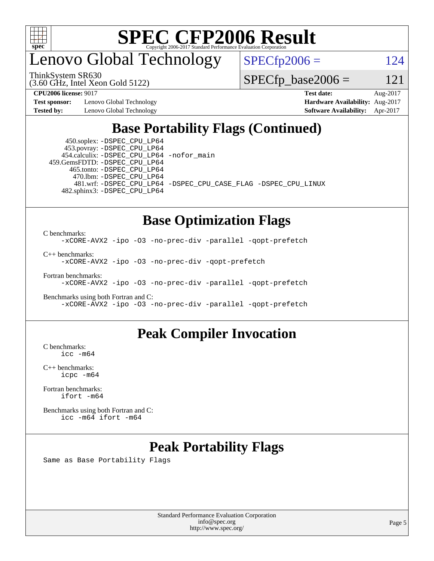

## enovo Global Technology

ThinkSystem SR630

(3.60 GHz, Intel Xeon Gold 5122)

 $SPECTp2006 = 124$ 

 $SPECTp\_base2006 = 121$ 

**[Test sponsor:](http://www.spec.org/auto/cpu2006/Docs/result-fields.html#Testsponsor)** Lenovo Global Technology **[Hardware Availability:](http://www.spec.org/auto/cpu2006/Docs/result-fields.html#HardwareAvailability)** Aug-2017

**[CPU2006 license:](http://www.spec.org/auto/cpu2006/Docs/result-fields.html#CPU2006license)** 9017 **[Test date:](http://www.spec.org/auto/cpu2006/Docs/result-fields.html#Testdate)** Aug-2017 **[Tested by:](http://www.spec.org/auto/cpu2006/Docs/result-fields.html#Testedby)** Lenovo Global Technology **[Software Availability:](http://www.spec.org/auto/cpu2006/Docs/result-fields.html#SoftwareAvailability)** Apr-2017

### **[Base Portability Flags \(Continued\)](http://www.spec.org/auto/cpu2006/Docs/result-fields.html#BasePortabilityFlags)**

 450.soplex: [-DSPEC\\_CPU\\_LP64](http://www.spec.org/cpu2006/results/res2017q4/cpu2006-20170918-49512.flags.html#suite_basePORTABILITY450_soplex_DSPEC_CPU_LP64) 453.povray: [-DSPEC\\_CPU\\_LP64](http://www.spec.org/cpu2006/results/res2017q4/cpu2006-20170918-49512.flags.html#suite_basePORTABILITY453_povray_DSPEC_CPU_LP64) 454.calculix: [-DSPEC\\_CPU\\_LP64](http://www.spec.org/cpu2006/results/res2017q4/cpu2006-20170918-49512.flags.html#suite_basePORTABILITY454_calculix_DSPEC_CPU_LP64) [-nofor\\_main](http://www.spec.org/cpu2006/results/res2017q4/cpu2006-20170918-49512.flags.html#user_baseLDPORTABILITY454_calculix_f-nofor_main) 459.GemsFDTD: [-DSPEC\\_CPU\\_LP64](http://www.spec.org/cpu2006/results/res2017q4/cpu2006-20170918-49512.flags.html#suite_basePORTABILITY459_GemsFDTD_DSPEC_CPU_LP64) 465.tonto: [-DSPEC\\_CPU\\_LP64](http://www.spec.org/cpu2006/results/res2017q4/cpu2006-20170918-49512.flags.html#suite_basePORTABILITY465_tonto_DSPEC_CPU_LP64) 470.lbm: [-DSPEC\\_CPU\\_LP64](http://www.spec.org/cpu2006/results/res2017q4/cpu2006-20170918-49512.flags.html#suite_basePORTABILITY470_lbm_DSPEC_CPU_LP64) 482.sphinx3: [-DSPEC\\_CPU\\_LP64](http://www.spec.org/cpu2006/results/res2017q4/cpu2006-20170918-49512.flags.html#suite_basePORTABILITY482_sphinx3_DSPEC_CPU_LP64)

481.wrf: [-DSPEC\\_CPU\\_LP64](http://www.spec.org/cpu2006/results/res2017q4/cpu2006-20170918-49512.flags.html#suite_basePORTABILITY481_wrf_DSPEC_CPU_LP64) [-DSPEC\\_CPU\\_CASE\\_FLAG](http://www.spec.org/cpu2006/results/res2017q4/cpu2006-20170918-49512.flags.html#b481.wrf_baseCPORTABILITY_DSPEC_CPU_CASE_FLAG) [-DSPEC\\_CPU\\_LINUX](http://www.spec.org/cpu2006/results/res2017q4/cpu2006-20170918-49512.flags.html#b481.wrf_baseCPORTABILITY_DSPEC_CPU_LINUX)

#### **[Base Optimization Flags](http://www.spec.org/auto/cpu2006/Docs/result-fields.html#BaseOptimizationFlags)**

[C benchmarks](http://www.spec.org/auto/cpu2006/Docs/result-fields.html#Cbenchmarks): [-xCORE-AVX2](http://www.spec.org/cpu2006/results/res2017q4/cpu2006-20170918-49512.flags.html#user_CCbase_f-xCORE-AVX2) [-ipo](http://www.spec.org/cpu2006/results/res2017q4/cpu2006-20170918-49512.flags.html#user_CCbase_f-ipo) [-O3](http://www.spec.org/cpu2006/results/res2017q4/cpu2006-20170918-49512.flags.html#user_CCbase_f-O3) [-no-prec-div](http://www.spec.org/cpu2006/results/res2017q4/cpu2006-20170918-49512.flags.html#user_CCbase_f-no-prec-div) [-parallel](http://www.spec.org/cpu2006/results/res2017q4/cpu2006-20170918-49512.flags.html#user_CCbase_f-parallel) [-qopt-prefetch](http://www.spec.org/cpu2006/results/res2017q4/cpu2006-20170918-49512.flags.html#user_CCbase_f-qopt-prefetch)

[C++ benchmarks:](http://www.spec.org/auto/cpu2006/Docs/result-fields.html#CXXbenchmarks)

[-xCORE-AVX2](http://www.spec.org/cpu2006/results/res2017q4/cpu2006-20170918-49512.flags.html#user_CXXbase_f-xCORE-AVX2) [-ipo](http://www.spec.org/cpu2006/results/res2017q4/cpu2006-20170918-49512.flags.html#user_CXXbase_f-ipo) [-O3](http://www.spec.org/cpu2006/results/res2017q4/cpu2006-20170918-49512.flags.html#user_CXXbase_f-O3) [-no-prec-div](http://www.spec.org/cpu2006/results/res2017q4/cpu2006-20170918-49512.flags.html#user_CXXbase_f-no-prec-div) [-qopt-prefetch](http://www.spec.org/cpu2006/results/res2017q4/cpu2006-20170918-49512.flags.html#user_CXXbase_f-qopt-prefetch)

[Fortran benchmarks](http://www.spec.org/auto/cpu2006/Docs/result-fields.html#Fortranbenchmarks):

[-xCORE-AVX2](http://www.spec.org/cpu2006/results/res2017q4/cpu2006-20170918-49512.flags.html#user_FCbase_f-xCORE-AVX2) [-ipo](http://www.spec.org/cpu2006/results/res2017q4/cpu2006-20170918-49512.flags.html#user_FCbase_f-ipo) [-O3](http://www.spec.org/cpu2006/results/res2017q4/cpu2006-20170918-49512.flags.html#user_FCbase_f-O3) [-no-prec-div](http://www.spec.org/cpu2006/results/res2017q4/cpu2006-20170918-49512.flags.html#user_FCbase_f-no-prec-div) [-parallel](http://www.spec.org/cpu2006/results/res2017q4/cpu2006-20170918-49512.flags.html#user_FCbase_f-parallel) [-qopt-prefetch](http://www.spec.org/cpu2006/results/res2017q4/cpu2006-20170918-49512.flags.html#user_FCbase_f-qopt-prefetch)

[Benchmarks using both Fortran and C](http://www.spec.org/auto/cpu2006/Docs/result-fields.html#BenchmarksusingbothFortranandC): [-xCORE-AVX2](http://www.spec.org/cpu2006/results/res2017q4/cpu2006-20170918-49512.flags.html#user_CC_FCbase_f-xCORE-AVX2) [-ipo](http://www.spec.org/cpu2006/results/res2017q4/cpu2006-20170918-49512.flags.html#user_CC_FCbase_f-ipo) [-O3](http://www.spec.org/cpu2006/results/res2017q4/cpu2006-20170918-49512.flags.html#user_CC_FCbase_f-O3) [-no-prec-div](http://www.spec.org/cpu2006/results/res2017q4/cpu2006-20170918-49512.flags.html#user_CC_FCbase_f-no-prec-div) [-parallel](http://www.spec.org/cpu2006/results/res2017q4/cpu2006-20170918-49512.flags.html#user_CC_FCbase_f-parallel) [-qopt-prefetch](http://www.spec.org/cpu2006/results/res2017q4/cpu2006-20170918-49512.flags.html#user_CC_FCbase_f-qopt-prefetch)

#### **[Peak Compiler Invocation](http://www.spec.org/auto/cpu2006/Docs/result-fields.html#PeakCompilerInvocation)**

[C benchmarks](http://www.spec.org/auto/cpu2006/Docs/result-fields.html#Cbenchmarks): [icc -m64](http://www.spec.org/cpu2006/results/res2017q4/cpu2006-20170918-49512.flags.html#user_CCpeak_intel_icc_64bit_bda6cc9af1fdbb0edc3795bac97ada53)

[C++ benchmarks:](http://www.spec.org/auto/cpu2006/Docs/result-fields.html#CXXbenchmarks) [icpc -m64](http://www.spec.org/cpu2006/results/res2017q4/cpu2006-20170918-49512.flags.html#user_CXXpeak_intel_icpc_64bit_fc66a5337ce925472a5c54ad6a0de310)

[Fortran benchmarks](http://www.spec.org/auto/cpu2006/Docs/result-fields.html#Fortranbenchmarks): [ifort -m64](http://www.spec.org/cpu2006/results/res2017q4/cpu2006-20170918-49512.flags.html#user_FCpeak_intel_ifort_64bit_ee9d0fb25645d0210d97eb0527dcc06e)

[Benchmarks using both Fortran and C](http://www.spec.org/auto/cpu2006/Docs/result-fields.html#BenchmarksusingbothFortranandC): [icc -m64](http://www.spec.org/cpu2006/results/res2017q4/cpu2006-20170918-49512.flags.html#user_CC_FCpeak_intel_icc_64bit_bda6cc9af1fdbb0edc3795bac97ada53) [ifort -m64](http://www.spec.org/cpu2006/results/res2017q4/cpu2006-20170918-49512.flags.html#user_CC_FCpeak_intel_ifort_64bit_ee9d0fb25645d0210d97eb0527dcc06e)

### **[Peak Portability Flags](http://www.spec.org/auto/cpu2006/Docs/result-fields.html#PeakPortabilityFlags)**

Same as Base Portability Flags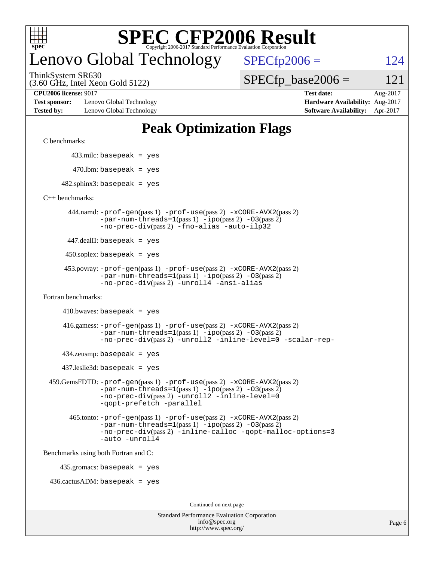

## enovo Global Technology

ThinkSystem SR630

(3.60 GHz, Intel Xeon Gold 5122)

**[Test sponsor:](http://www.spec.org/auto/cpu2006/Docs/result-fields.html#Testsponsor)** Lenovo Global Technology **[Hardware Availability:](http://www.spec.org/auto/cpu2006/Docs/result-fields.html#HardwareAvailability)** Aug-2017 **[Tested by:](http://www.spec.org/auto/cpu2006/Docs/result-fields.html#Testedby)** Lenovo Global Technology **[Software Availability:](http://www.spec.org/auto/cpu2006/Docs/result-fields.html#SoftwareAvailability)** Apr-2017

 $SPECTp2006 = 124$ 

 $SPECTp\_base2006 = 121$ 

**[CPU2006 license:](http://www.spec.org/auto/cpu2006/Docs/result-fields.html#CPU2006license)** 9017 **[Test date:](http://www.spec.org/auto/cpu2006/Docs/result-fields.html#Testdate)** Aug-2017

### **[Peak Optimization Flags](http://www.spec.org/auto/cpu2006/Docs/result-fields.html#PeakOptimizationFlags)**

[C benchmarks](http://www.spec.org/auto/cpu2006/Docs/result-fields.html#Cbenchmarks):

433.milc: basepeak = yes

 $470.$ lbm: basepeak = yes

 $482$ .sphinx3: basepeak = yes

[C++ benchmarks:](http://www.spec.org/auto/cpu2006/Docs/result-fields.html#CXXbenchmarks)

 444.namd: [-prof-gen](http://www.spec.org/cpu2006/results/res2017q4/cpu2006-20170918-49512.flags.html#user_peakPASS1_CXXFLAGSPASS1_LDFLAGS444_namd_prof_gen_e43856698f6ca7b7e442dfd80e94a8fc)(pass 1) [-prof-use](http://www.spec.org/cpu2006/results/res2017q4/cpu2006-20170918-49512.flags.html#user_peakPASS2_CXXFLAGSPASS2_LDFLAGS444_namd_prof_use_bccf7792157ff70d64e32fe3e1250b55)(pass 2) [-xCORE-AVX2](http://www.spec.org/cpu2006/results/res2017q4/cpu2006-20170918-49512.flags.html#user_peakPASS2_CXXFLAGSPASS2_LDFLAGS444_namd_f-xCORE-AVX2)(pass 2)  $-par-num-threads=1(pass 1) -ipo(pass 2) -O3(pass 2)$  $-par-num-threads=1(pass 1) -ipo(pass 2) -O3(pass 2)$  $-par-num-threads=1(pass 1) -ipo(pass 2) -O3(pass 2)$  $-par-num-threads=1(pass 1) -ipo(pass 2) -O3(pass 2)$  $-par-num-threads=1(pass 1) -ipo(pass 2) -O3(pass 2)$  $-par-num-threads=1(pass 1) -ipo(pass 2) -O3(pass 2)$ [-no-prec-div](http://www.spec.org/cpu2006/results/res2017q4/cpu2006-20170918-49512.flags.html#user_peakPASS2_CXXFLAGSPASS2_LDFLAGS444_namd_f-no-prec-div)(pass 2) [-fno-alias](http://www.spec.org/cpu2006/results/res2017q4/cpu2006-20170918-49512.flags.html#user_peakCXXOPTIMIZEOPTIMIZE444_namd_f-no-alias_694e77f6c5a51e658e82ccff53a9e63a) [-auto-ilp32](http://www.spec.org/cpu2006/results/res2017q4/cpu2006-20170918-49512.flags.html#user_peakCXXOPTIMIZE444_namd_f-auto-ilp32)

447.dealII: basepeak = yes

 $450$ .soplex: basepeak = yes

```
 453.povray: -prof-gen(pass 1) -prof-use(pass 2) -xCORE-AVX2(pass 2)
         -par-num-threads=1-ipo-O3(pass 2)-no-prec-div(pass 2) -unroll4 -ansi-alias
```
[Fortran benchmarks](http://www.spec.org/auto/cpu2006/Docs/result-fields.html#Fortranbenchmarks):

 $410.bwaves: basepeak = yes$ 

 416.gamess: [-prof-gen](http://www.spec.org/cpu2006/results/res2017q4/cpu2006-20170918-49512.flags.html#user_peakPASS1_FFLAGSPASS1_LDFLAGS416_gamess_prof_gen_e43856698f6ca7b7e442dfd80e94a8fc)(pass 1) [-prof-use](http://www.spec.org/cpu2006/results/res2017q4/cpu2006-20170918-49512.flags.html#user_peakPASS2_FFLAGSPASS2_LDFLAGS416_gamess_prof_use_bccf7792157ff70d64e32fe3e1250b55)(pass 2) [-xCORE-AVX2](http://www.spec.org/cpu2006/results/res2017q4/cpu2006-20170918-49512.flags.html#user_peakPASS2_FFLAGSPASS2_LDFLAGS416_gamess_f-xCORE-AVX2)(pass 2)  $-par-num-threads=1(pass 1) -ipo(pass 2) -O3(pass 2)$  $-par-num-threads=1(pass 1) -ipo(pass 2) -O3(pass 2)$  $-par-num-threads=1(pass 1) -ipo(pass 2) -O3(pass 2)$  $-par-num-threads=1(pass 1) -ipo(pass 2) -O3(pass 2)$  $-par-num-threads=1(pass 1) -ipo(pass 2) -O3(pass 2)$  $-par-num-threads=1(pass 1) -ipo(pass 2) -O3(pass 2)$ [-no-prec-div](http://www.spec.org/cpu2006/results/res2017q4/cpu2006-20170918-49512.flags.html#user_peakPASS2_FFLAGSPASS2_LDFLAGS416_gamess_f-no-prec-div)(pass 2) [-unroll2](http://www.spec.org/cpu2006/results/res2017q4/cpu2006-20170918-49512.flags.html#user_peakOPTIMIZE416_gamess_f-unroll_784dae83bebfb236979b41d2422d7ec2) [-inline-level=0](http://www.spec.org/cpu2006/results/res2017q4/cpu2006-20170918-49512.flags.html#user_peakOPTIMIZE416_gamess_f-inline-level_318d07a09274ad25e8d15dbfaa68ba50) [-scalar-rep-](http://www.spec.org/cpu2006/results/res2017q4/cpu2006-20170918-49512.flags.html#user_peakOPTIMIZE416_gamess_f-disablescalarrep_abbcad04450fb118e4809c81d83c8a1d)

 $434$ .zeusmp: basepeak = yes

437.leslie3d: basepeak = yes

```
 459.GemsFDTD: -prof-gen(pass 1) -prof-use(pass 2) -xCORE-AVX2(pass 2)
            -par-num-threads=1-ipo-O3(pass 2)-no-prec-div(pass 2) -unroll2 -inline-level=0
            -qopt-prefetch -parallel
```
 465.tonto: [-prof-gen](http://www.spec.org/cpu2006/results/res2017q4/cpu2006-20170918-49512.flags.html#user_peakPASS1_FFLAGSPASS1_LDFLAGS465_tonto_prof_gen_e43856698f6ca7b7e442dfd80e94a8fc)(pass 1) [-prof-use](http://www.spec.org/cpu2006/results/res2017q4/cpu2006-20170918-49512.flags.html#user_peakPASS2_FFLAGSPASS2_LDFLAGS465_tonto_prof_use_bccf7792157ff70d64e32fe3e1250b55)(pass 2) [-xCORE-AVX2](http://www.spec.org/cpu2006/results/res2017q4/cpu2006-20170918-49512.flags.html#user_peakPASS2_FFLAGSPASS2_LDFLAGS465_tonto_f-xCORE-AVX2)(pass 2)  $-par-num-threads=1(pass 1) -ipo(pass 2) -O3(pass 2)$  $-par-num-threads=1(pass 1) -ipo(pass 2) -O3(pass 2)$  $-par-num-threads=1(pass 1) -ipo(pass 2) -O3(pass 2)$  $-par-num-threads=1(pass 1) -ipo(pass 2) -O3(pass 2)$  $-par-num-threads=1(pass 1) -ipo(pass 2) -O3(pass 2)$  $-par-num-threads=1(pass 1) -ipo(pass 2) -O3(pass 2)$ [-no-prec-div](http://www.spec.org/cpu2006/results/res2017q4/cpu2006-20170918-49512.flags.html#user_peakPASS2_FFLAGSPASS2_LDFLAGS465_tonto_f-no-prec-div)(pass 2) [-inline-calloc](http://www.spec.org/cpu2006/results/res2017q4/cpu2006-20170918-49512.flags.html#user_peakOPTIMIZE465_tonto_f-inline-calloc) [-qopt-malloc-options=3](http://www.spec.org/cpu2006/results/res2017q4/cpu2006-20170918-49512.flags.html#user_peakOPTIMIZE465_tonto_f-qopt-malloc-options_0fcb435012e78f27d57f473818e45fe4) [-auto](http://www.spec.org/cpu2006/results/res2017q4/cpu2006-20170918-49512.flags.html#user_peakOPTIMIZE465_tonto_f-auto) [-unroll4](http://www.spec.org/cpu2006/results/res2017q4/cpu2006-20170918-49512.flags.html#user_peakOPTIMIZE465_tonto_f-unroll_4e5e4ed65b7fd20bdcd365bec371b81f)

[Benchmarks using both Fortran and C](http://www.spec.org/auto/cpu2006/Docs/result-fields.html#BenchmarksusingbothFortranandC):

435.gromacs: basepeak = yes

 $436.cactusADM:basepeak = yes$ 

Continued on next page

| <b>Standard Performance Evaluation Corporation</b> |
|----------------------------------------------------|
| info@spec.org                                      |
| http://www.spec.org/                               |